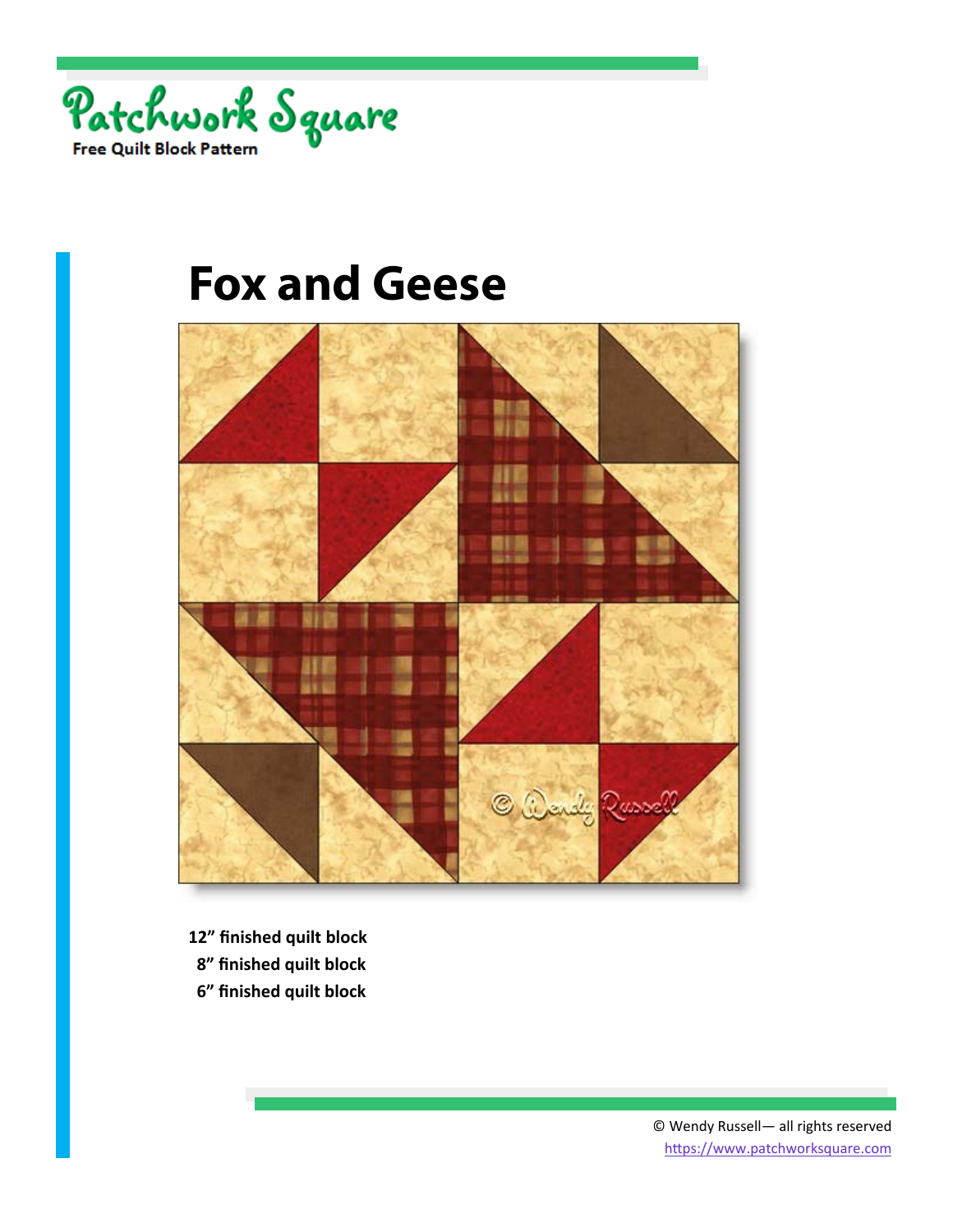



- **12" finished quilt block**
- **8" finished quilt block**
- **6" finished quilt block**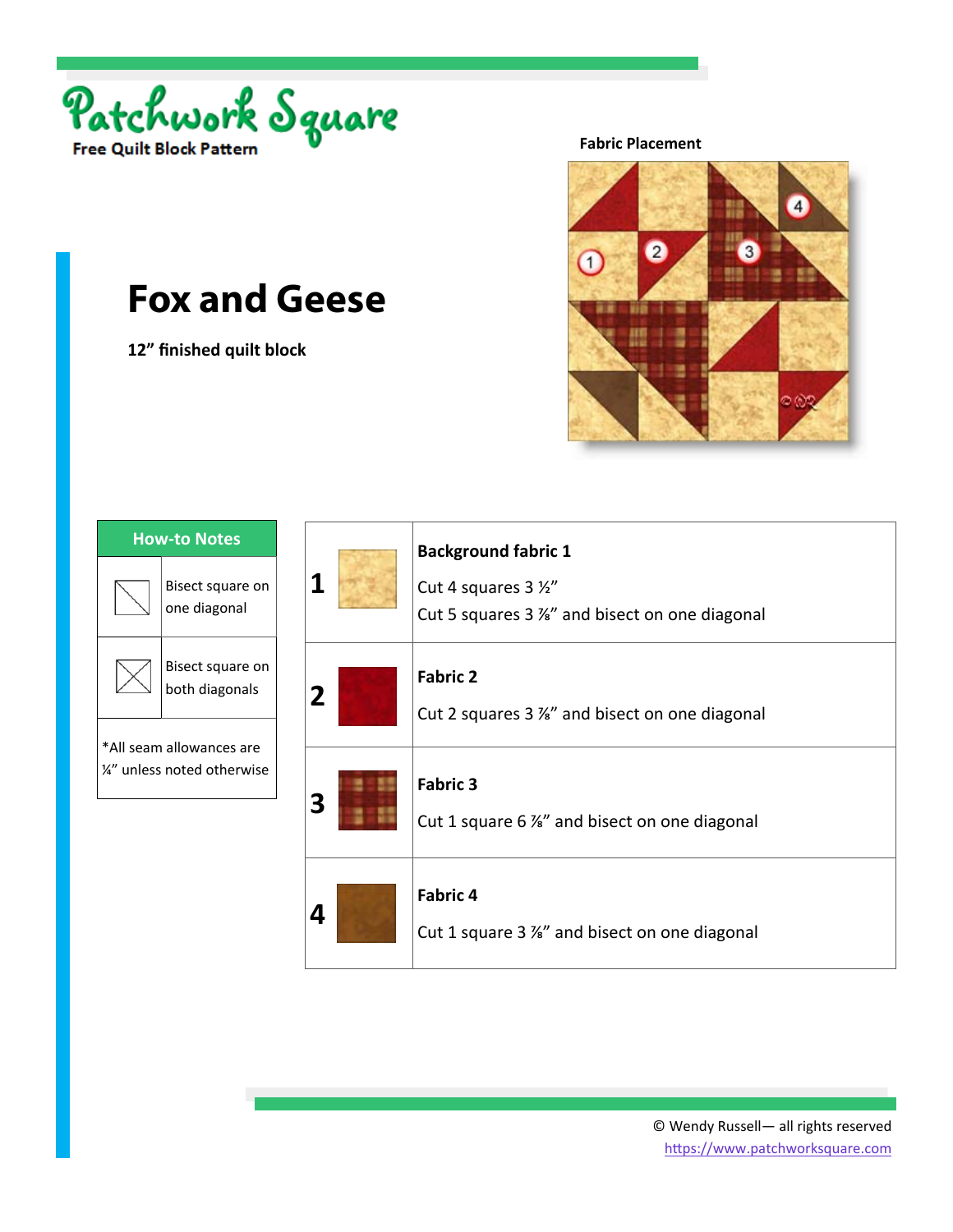

**12" finished quilt block** 

**Fabric Placement** 



| <b>How-to Notes</b>                                     |                                    |
|---------------------------------------------------------|------------------------------------|
|                                                         | Bisect square on<br>one diagonal   |
|                                                         | Bisect square on<br>both diagonals |
| *All seam allowances are<br>1/2" unless noted otherwise |                                    |
|                                                         |                                    |

| 1              | <b>Background fabric 1</b><br>Cut 4 squares 3 1/2"<br>Cut 5 squares 3 %" and bisect on one diagonal |
|----------------|-----------------------------------------------------------------------------------------------------|
| $\overline{2}$ | <b>Fabric 2</b><br>Cut 2 squares 3 %" and bisect on one diagonal                                    |
|                | <b>Fabric 3</b><br>Cut 1 square 6 %" and bisect on one diagonal                                     |
| 4              | <b>Fabric 4</b><br>Cut 1 square 3 %" and bisect on one diagonal                                     |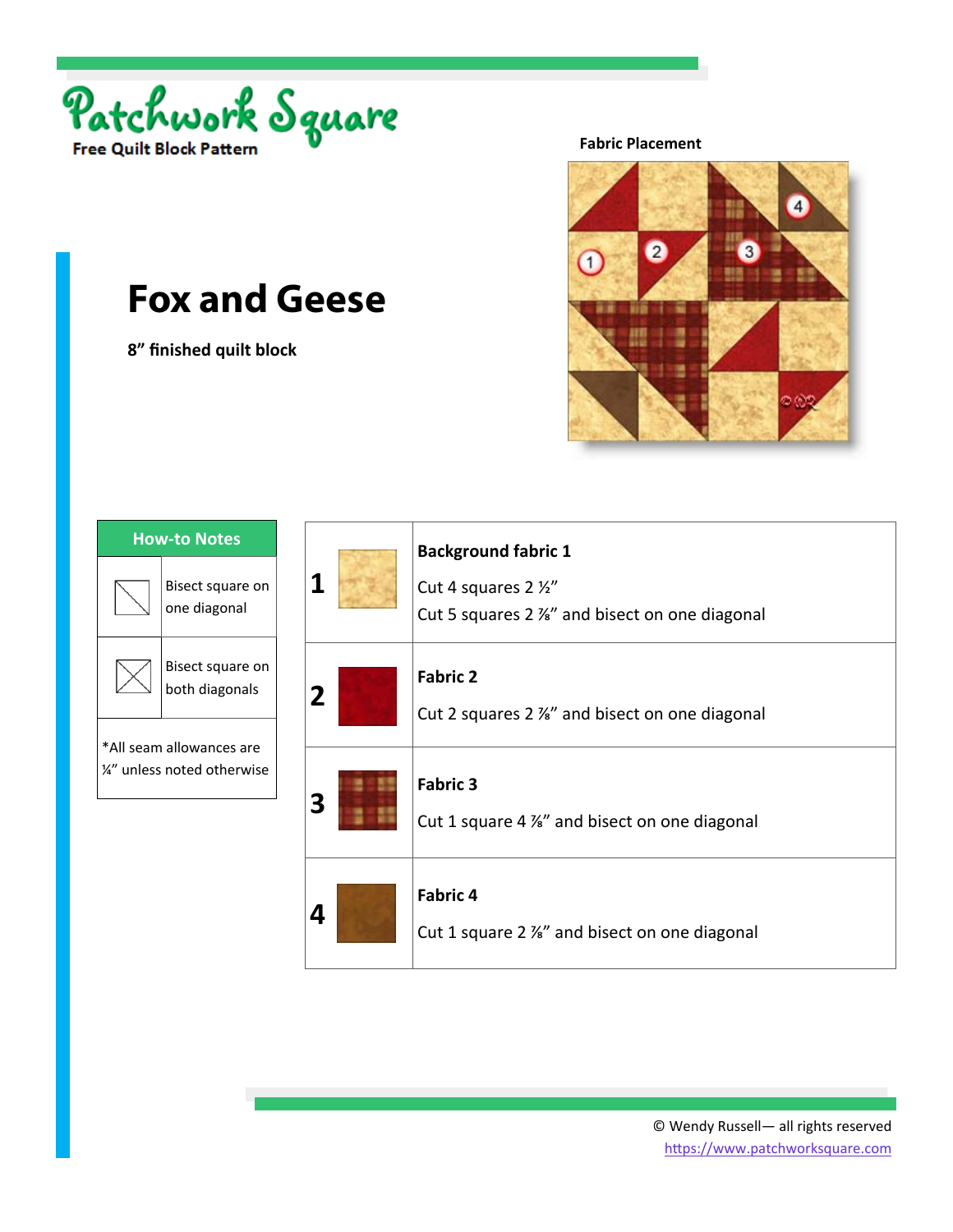

**8" finished quilt block** 

**Fabric Placement** 



| <b>How-to Notes</b>                                     |                                    |
|---------------------------------------------------------|------------------------------------|
|                                                         | Bisect square on<br>one diagonal   |
|                                                         | Bisect square on<br>both diagonals |
| *All seam allowances are<br>1/4" unless noted otherwise |                                    |
|                                                         |                                    |

| 1           | <b>Background fabric 1</b><br>Cut 4 squares 2 1/2"<br>Cut 5 squares 2 %" and bisect on one diagonal |
|-------------|-----------------------------------------------------------------------------------------------------|
| $\mathbf 2$ | <b>Fabric 2</b><br>Cut 2 squares 2 %" and bisect on one diagonal                                    |
|             | <b>Fabric 3</b><br>Cut 1 square 4 %" and bisect on one diagonal                                     |
| 4           | <b>Fabric 4</b><br>Cut 1 square 2 %" and bisect on one diagonal                                     |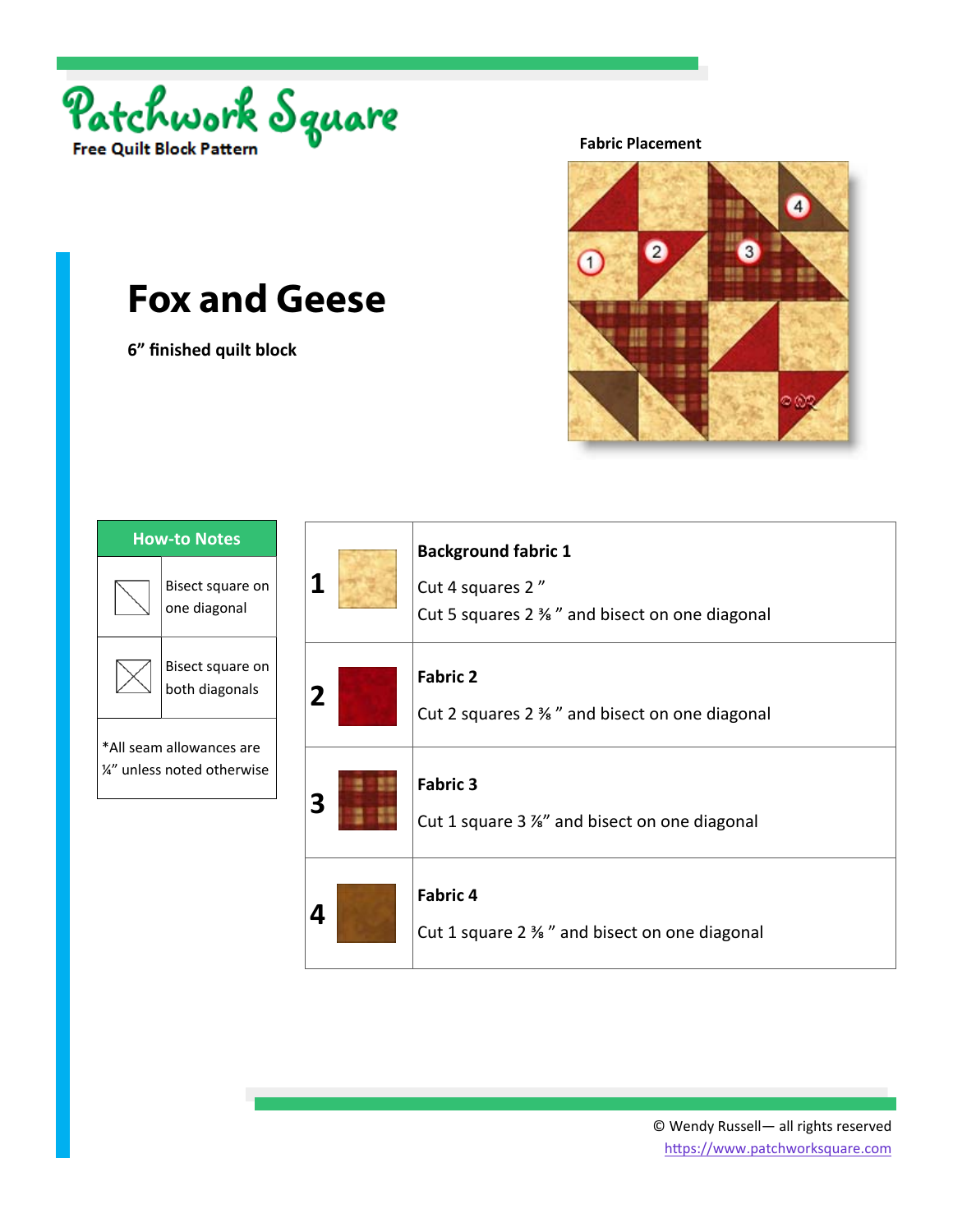

**6" finished quilt block** 

**Fabric Placement** 



| <b>How-to Notes</b>                                     |                                    |
|---------------------------------------------------------|------------------------------------|
|                                                         | Bisect square on<br>one diagonal   |
|                                                         | Bisect square on<br>both diagonals |
| *All seam allowances are<br>1/4" unless noted otherwise |                                    |
|                                                         |                                    |

| 1           | <b>Background fabric 1</b><br>Cut 4 squares 2"<br>Cut 5 squares 2 $\frac{3}{2}$ and bisect on one diagonal |
|-------------|------------------------------------------------------------------------------------------------------------|
| $\mathbf 2$ | <b>Fabric 2</b><br>Cut 2 squares 2 % " and bisect on one diagonal                                          |
|             | <b>Fabric 3</b><br>Cut 1 square 3 %" and bisect on one diagonal                                            |
|             | <b>Fabric 4</b><br>Cut 1 square 2 % " and bisect on one diagonal                                           |